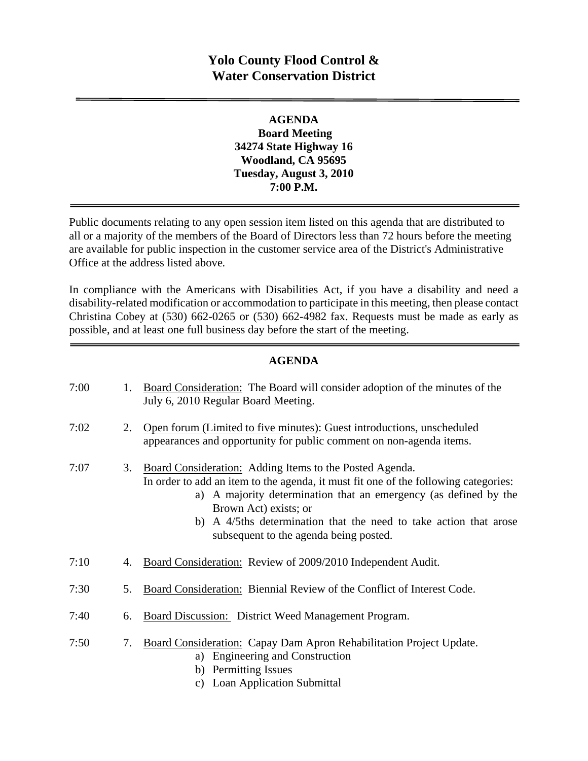# **Yolo County Flood Control & Water Conservation District**

#### **AGENDA Board Meeting 34274 State Highway 16 Woodland, CA 95695 Tuesday, August 3, 2010 7:00 P.M.**

Public documents relating to any open session item listed on this agenda that are distributed to all or a majority of the members of the Board of Directors less than 72 hours before the meeting are available for public inspection in the customer service area of the District's Administrative Office at the address listed above*.* 

In compliance with the Americans with Disabilities Act, if you have a disability and need a disability-related modification or accommodation to participate in this meeting, then please contact Christina Cobey at (530) 662-0265 or (530) 662-4982 fax. Requests must be made as early as possible, and at least one full business day before the start of the meeting.

#### **AGENDA**

| 7:00 | 1. | Board Consideration: The Board will consider adoption of the minutes of the<br>July 6, 2010 Regular Board Meeting.                                                                                                                                                                                                                                         |
|------|----|------------------------------------------------------------------------------------------------------------------------------------------------------------------------------------------------------------------------------------------------------------------------------------------------------------------------------------------------------------|
| 7:02 | 2. | Open forum (Limited to five minutes): Guest introductions, unscheduled<br>appearances and opportunity for public comment on non-agenda items.                                                                                                                                                                                                              |
| 7:07 | 3. | Board Consideration: Adding Items to the Posted Agenda.<br>In order to add an item to the agenda, it must fit one of the following categories:<br>a) A majority determination that an emergency (as defined by the<br>Brown Act) exists; or<br>b) A 4/5ths determination that the need to take action that arose<br>subsequent to the agenda being posted. |
| 7:10 | 4. | Board Consideration: Review of 2009/2010 Independent Audit.                                                                                                                                                                                                                                                                                                |
| 7:30 | 5. | Board Consideration: Biennial Review of the Conflict of Interest Code.                                                                                                                                                                                                                                                                                     |
| 7:40 | 6. | <b>Board Discussion:</b> District Weed Management Program.                                                                                                                                                                                                                                                                                                 |
| 7:50 | 7. | Board Consideration: Capay Dam Apron Rehabilitation Project Update.<br>a) Engineering and Construction<br>b) Permitting Issues<br>c) Loan Application Submittal                                                                                                                                                                                            |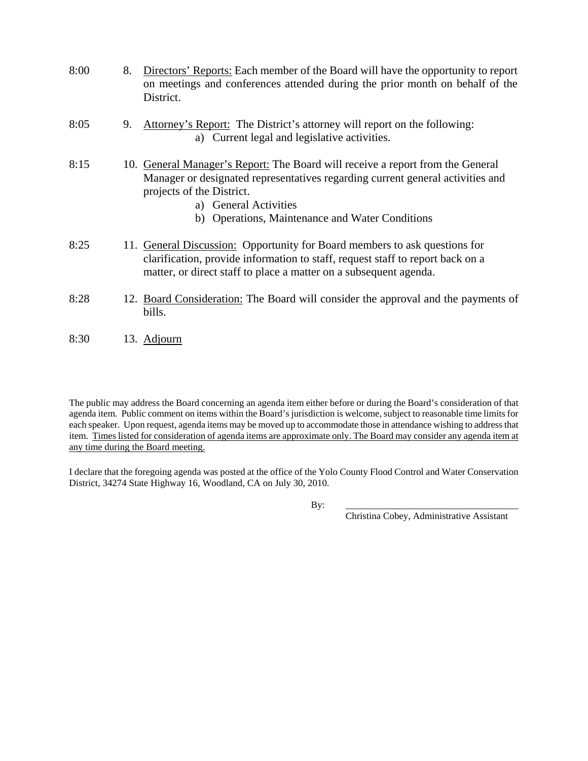| 8:00 | 8. | Directors' Reports: Each member of the Board will have the opportunity to report<br>on meetings and conferences attended during the prior month on behalf of the<br>District.                                                                                             |
|------|----|---------------------------------------------------------------------------------------------------------------------------------------------------------------------------------------------------------------------------------------------------------------------------|
| 8:05 | 9. | Attorney's Report: The District's attorney will report on the following:<br>a) Current legal and legislative activities.                                                                                                                                                  |
| 8:15 |    | 10. General Manager's Report: The Board will receive a report from the General<br>Manager or designated representatives regarding current general activities and<br>projects of the District.<br>a) General Activities<br>b) Operations, Maintenance and Water Conditions |
| 8:25 |    | 11. General Discussion: Opportunity for Board members to ask questions for<br>clarification, provide information to staff, request staff to report back on a<br>matter, or direct staff to place a matter on a subsequent agenda.                                         |
| 8:28 |    | 12. Board Consideration: The Board will consider the approval and the payments of                                                                                                                                                                                         |

- bills.
- 8:30 13. Adjourn

The public may address the Board concerning an agenda item either before or during the Board's consideration of that agenda item. Public comment on items within the Board's jurisdiction is welcome, subject to reasonable time limits for each speaker. Upon request, agenda items may be moved up to accommodate those in attendance wishing to address that item. Times listed for consideration of agenda items are approximate only. The Board may consider any agenda item at any time during the Board meeting.

I declare that the foregoing agenda was posted at the office of the Yolo County Flood Control and Water Conservation District, 34274 State Highway 16, Woodland, CA on July 30, 2010.

By: \_\_\_\_\_\_\_\_\_\_\_\_\_\_\_\_\_\_\_\_\_\_\_\_\_\_\_\_\_\_\_\_\_\_\_\_\_

Christina Cobey, Administrative Assistant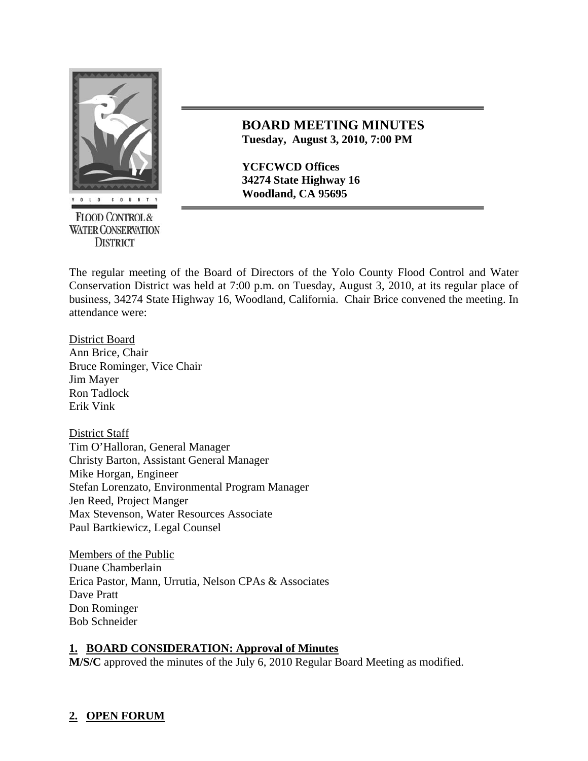

**FLOOD CONTROL & WATER CONSERVATION DISTRICT** 

## **BOARD MEETING MINUTES Tuesday, August 3, 2010, 7:00 PM**

**YCFCWCD Offices 34274 State Highway 16** 

The regular meeting of the Board of Directors of the Yolo County Flood Control and Water Conservation District was held at 7:00 p.m. on Tuesday, August 3, 2010, at its regular place of business, 34274 State Highway 16, Woodland, California. Chair Brice convened the meeting. In attendance were:

District Board Ann Brice, Chair Bruce Rominger, Vice Chair Jim Mayer Ron Tadlock Erik Vink

District Staff Tim O'Halloran, General Manager Christy Barton, Assistant General Manager Mike Horgan, Engineer Stefan Lorenzato, Environmental Program Manager Jen Reed, Project Manger Max Stevenson, Water Resources Associate Paul Bartkiewicz, Legal Counsel

Members of the Public Duane Chamberlain Erica Pastor, Mann, Urrutia, Nelson CPAs & Associates Dave Pratt Don Rominger Bob Schneider

## **1. BOARD CONSIDERATION: Approval of Minutes**

**M/S/C** approved the minutes of the July 6, 2010 Regular Board Meeting as modified.

# **2. OPEN FORUM**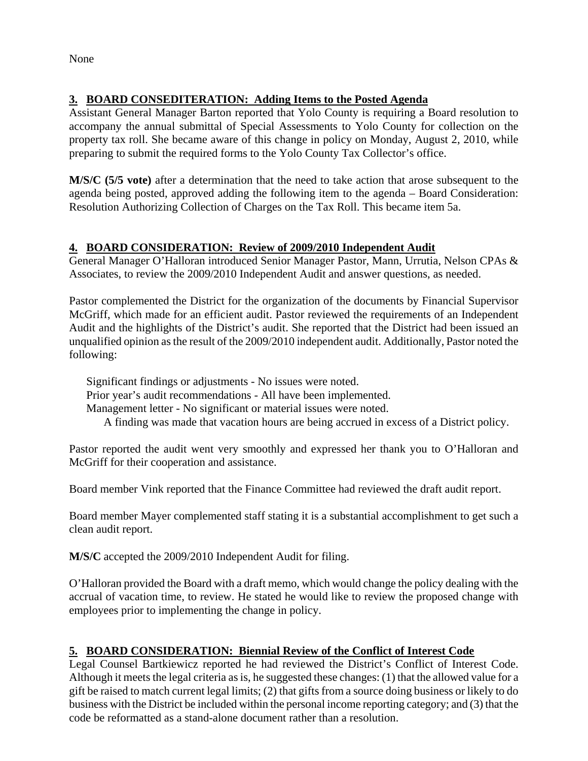None

## **3. BOARD CONSEDITERATION: Adding Items to the Posted Agenda**

Assistant General Manager Barton reported that Yolo County is requiring a Board resolution to accompany the annual submittal of Special Assessments to Yolo County for collection on the property tax roll. She became aware of this change in policy on Monday, August 2, 2010, while preparing to submit the required forms to the Yolo County Tax Collector's office.

**M/S/C (5/5 vote)** after a determination that the need to take action that arose subsequent to the agenda being posted, approved adding the following item to the agenda – Board Consideration: Resolution Authorizing Collection of Charges on the Tax Roll. This became item 5a.

## **4. BOARD CONSIDERATION: Review of 2009/2010 Independent Audit**

General Manager O'Halloran introduced Senior Manager Pastor, Mann, Urrutia, Nelson CPAs & Associates, to review the 2009/2010 Independent Audit and answer questions, as needed.

Pastor complemented the District for the organization of the documents by Financial Supervisor McGriff, which made for an efficient audit. Pastor reviewed the requirements of an Independent Audit and the highlights of the District's audit. She reported that the District had been issued an unqualified opinion as the result of the 2009/2010 independent audit. Additionally, Pastor noted the following:

 Significant findings or adjustments - No issues were noted. Prior year's audit recommendations - All have been implemented. Management letter - No significant or material issues were noted. A finding was made that vacation hours are being accrued in excess of a District policy.

Pastor reported the audit went very smoothly and expressed her thank you to O'Halloran and McGriff for their cooperation and assistance.

Board member Vink reported that the Finance Committee had reviewed the draft audit report.

Board member Mayer complemented staff stating it is a substantial accomplishment to get such a clean audit report.

**M/S/C** accepted the 2009/2010 Independent Audit for filing.

O'Halloran provided the Board with a draft memo, which would change the policy dealing with the accrual of vacation time, to review. He stated he would like to review the proposed change with employees prior to implementing the change in policy.

## **5. BOARD CONSIDERATION: Biennial Review of the Conflict of Interest Code**

Legal Counsel Bartkiewicz reported he had reviewed the District's Conflict of Interest Code. Although it meets the legal criteria as is, he suggested these changes: (1) that the allowed value for a gift be raised to match current legal limits; (2) that gifts from a source doing business or likely to do business with the District be included within the personal income reporting category; and (3) that the code be reformatted as a stand-alone document rather than a resolution.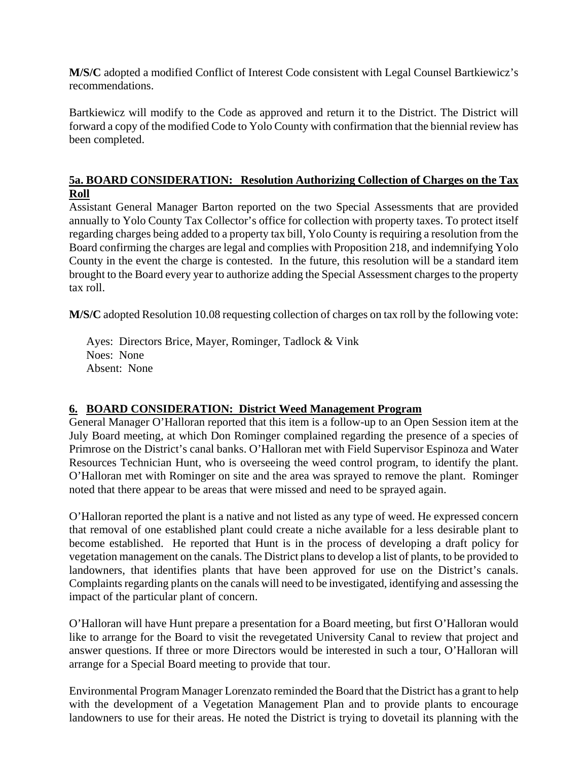**M/S/C** adopted a modified Conflict of Interest Code consistent with Legal Counsel Bartkiewicz's recommendations.

Bartkiewicz will modify to the Code as approved and return it to the District. The District will forward a copy of the modified Code to Yolo County with confirmation that the biennial review has been completed.

#### **5a. BOARD CONSIDERATION: Resolution Authorizing Collection of Charges on the Tax Roll**

Assistant General Manager Barton reported on the two Special Assessments that are provided annually to Yolo County Tax Collector's office for collection with property taxes. To protect itself regarding charges being added to a property tax bill, Yolo County is requiring a resolution from the Board confirming the charges are legal and complies with Proposition 218, and indemnifying Yolo County in the event the charge is contested. In the future, this resolution will be a standard item brought to the Board every year to authorize adding the Special Assessment charges to the property tax roll.

**M/S/C** adopted Resolution 10.08 requesting collection of charges on tax roll by the following vote:

 Ayes: Directors Brice, Mayer, Rominger, Tadlock & Vink Noes: None Absent: None

#### **6. BOARD CONSIDERATION: District Weed Management Program**

General Manager O'Halloran reported that this item is a follow-up to an Open Session item at the July Board meeting, at which Don Rominger complained regarding the presence of a species of Primrose on the District's canal banks. O'Halloran met with Field Supervisor Espinoza and Water Resources Technician Hunt, who is overseeing the weed control program, to identify the plant. O'Halloran met with Rominger on site and the area was sprayed to remove the plant. Rominger noted that there appear to be areas that were missed and need to be sprayed again.

O'Halloran reported the plant is a native and not listed as any type of weed. He expressed concern that removal of one established plant could create a niche available for a less desirable plant to become established. He reported that Hunt is in the process of developing a draft policy for vegetation management on the canals. The District plans to develop a list of plants, to be provided to landowners, that identifies plants that have been approved for use on the District's canals. Complaints regarding plants on the canals will need to be investigated, identifying and assessing the impact of the particular plant of concern.

O'Halloran will have Hunt prepare a presentation for a Board meeting, but first O'Halloran would like to arrange for the Board to visit the revegetated University Canal to review that project and answer questions. If three or more Directors would be interested in such a tour, O'Halloran will arrange for a Special Board meeting to provide that tour.

Environmental Program Manager Lorenzato reminded the Board that the District has a grant to help with the development of a Vegetation Management Plan and to provide plants to encourage landowners to use for their areas. He noted the District is trying to dovetail its planning with the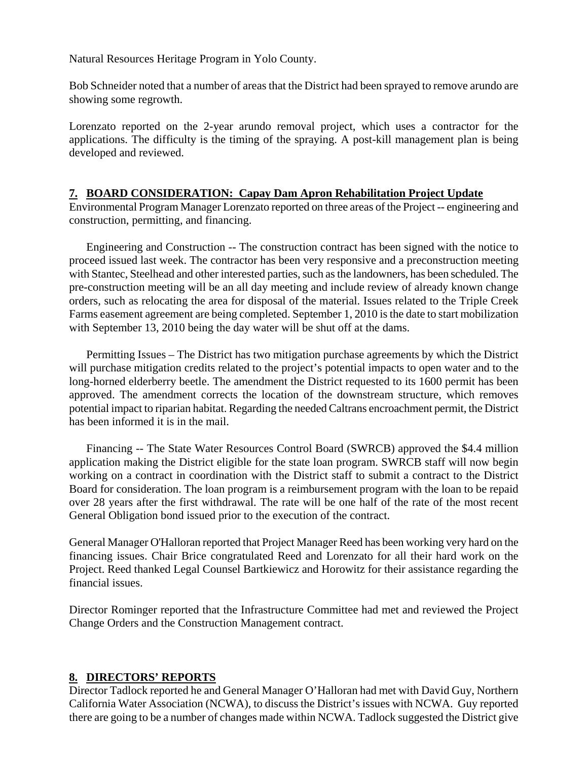Natural Resources Heritage Program in Yolo County.

Bob Schneider noted that a number of areas that the District had been sprayed to remove arundo are showing some regrowth.

Lorenzato reported on the 2-year arundo removal project, which uses a contractor for the applications. The difficulty is the timing of the spraying. A post-kill management plan is being developed and reviewed.

#### **7. BOARD CONSIDERATION: Capay Dam Apron Rehabilitation Project Update**

Environmental Program Manager Lorenzato reported on three areas of the Project -- engineering and construction, permitting, and financing.

 Engineering and Construction -- The construction contract has been signed with the notice to proceed issued last week. The contractor has been very responsive and a preconstruction meeting with Stantec, Steelhead and other interested parties, such as the landowners, has been scheduled. The pre-construction meeting will be an all day meeting and include review of already known change orders, such as relocating the area for disposal of the material. Issues related to the Triple Creek Farms easement agreement are being completed. September 1, 2010 is the date to start mobilization with September 13, 2010 being the day water will be shut off at the dams.

 Permitting Issues – The District has two mitigation purchase agreements by which the District will purchase mitigation credits related to the project's potential impacts to open water and to the long-horned elderberry beetle. The amendment the District requested to its 1600 permit has been approved. The amendment corrects the location of the downstream structure, which removes potential impact to riparian habitat. Regarding the needed Caltrans encroachment permit, the District has been informed it is in the mail.

 Financing -- The State Water Resources Control Board (SWRCB) approved the \$4.4 million application making the District eligible for the state loan program. SWRCB staff will now begin working on a contract in coordination with the District staff to submit a contract to the District Board for consideration. The loan program is a reimbursement program with the loan to be repaid over 28 years after the first withdrawal. The rate will be one half of the rate of the most recent General Obligation bond issued prior to the execution of the contract.

General Manager O'Halloran reported that Project Manager Reed has been working very hard on the financing issues. Chair Brice congratulated Reed and Lorenzato for all their hard work on the Project. Reed thanked Legal Counsel Bartkiewicz and Horowitz for their assistance regarding the financial issues.

Director Rominger reported that the Infrastructure Committee had met and reviewed the Project Change Orders and the Construction Management contract.

#### **8. DIRECTORS' REPORTS**

Director Tadlock reported he and General Manager O'Halloran had met with David Guy, Northern California Water Association (NCWA), to discuss the District's issues with NCWA. Guy reported there are going to be a number of changes made within NCWA. Tadlock suggested the District give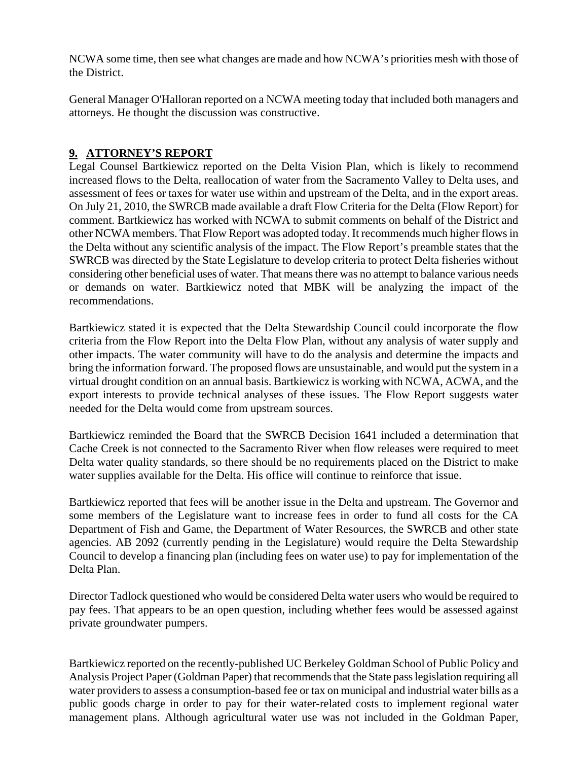NCWA some time, then see what changes are made and how NCWA's priorities mesh with those of the District.

General Manager O'Halloran reported on a NCWA meeting today that included both managers and attorneys. He thought the discussion was constructive.

## **9. ATTORNEY'S REPORT**

Legal Counsel Bartkiewicz reported on the Delta Vision Plan, which is likely to recommend increased flows to the Delta, reallocation of water from the Sacramento Valley to Delta uses, and assessment of fees or taxes for water use within and upstream of the Delta, and in the export areas. On July 21, 2010, the SWRCB made available a draft Flow Criteria for the Delta (Flow Report) for comment. Bartkiewicz has worked with NCWA to submit comments on behalf of the District and other NCWA members. That Flow Report was adopted today. It recommends much higher flows in the Delta without any scientific analysis of the impact. The Flow Report's preamble states that the SWRCB was directed by the State Legislature to develop criteria to protect Delta fisheries without considering other beneficial uses of water. That means there was no attempt to balance various needs or demands on water. Bartkiewicz noted that MBK will be analyzing the impact of the recommendations.

Bartkiewicz stated it is expected that the Delta Stewardship Council could incorporate the flow criteria from the Flow Report into the Delta Flow Plan, without any analysis of water supply and other impacts. The water community will have to do the analysis and determine the impacts and bring the information forward. The proposed flows are unsustainable, and would put the system in a virtual drought condition on an annual basis. Bartkiewicz is working with NCWA, ACWA, and the export interests to provide technical analyses of these issues. The Flow Report suggests water needed for the Delta would come from upstream sources.

Bartkiewicz reminded the Board that the SWRCB Decision 1641 included a determination that Cache Creek is not connected to the Sacramento River when flow releases were required to meet Delta water quality standards, so there should be no requirements placed on the District to make water supplies available for the Delta. His office will continue to reinforce that issue.

Bartkiewicz reported that fees will be another issue in the Delta and upstream. The Governor and some members of the Legislature want to increase fees in order to fund all costs for the CA Department of Fish and Game, the Department of Water Resources, the SWRCB and other state agencies. AB 2092 (currently pending in the Legislature) would require the Delta Stewardship Council to develop a financing plan (including fees on water use) to pay for implementation of the Delta Plan.

Director Tadlock questioned who would be considered Delta water users who would be required to pay fees. That appears to be an open question, including whether fees would be assessed against private groundwater pumpers.

Bartkiewicz reported on the recently-published UC Berkeley Goldman School of Public Policy and Analysis Project Paper (Goldman Paper) that recommends that the State pass legislation requiring all water providers to assess a consumption-based fee or tax on municipal and industrial water bills as a public goods charge in order to pay for their water-related costs to implement regional water management plans. Although agricultural water use was not included in the Goldman Paper,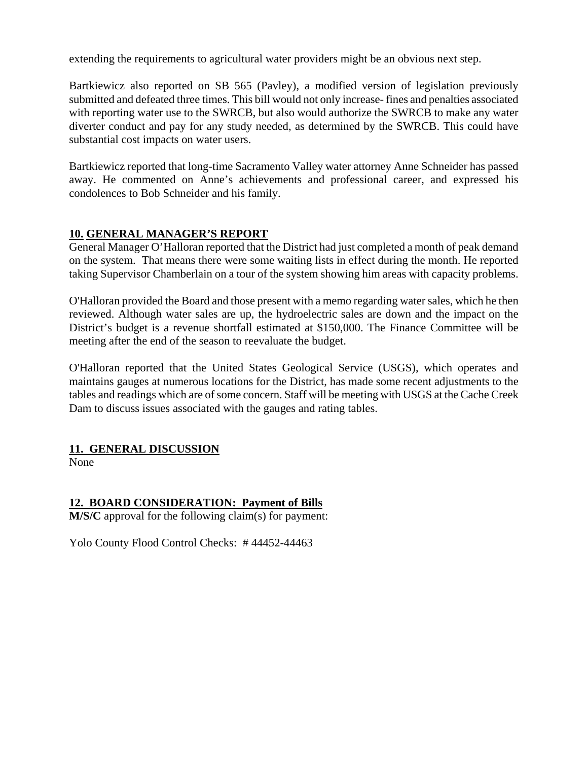extending the requirements to agricultural water providers might be an obvious next step.

Bartkiewicz also reported on SB 565 (Pavley), a modified version of legislation previously submitted and defeated three times. This bill would not only increase- fines and penalties associated with reporting water use to the SWRCB, but also would authorize the SWRCB to make any water diverter conduct and pay for any study needed, as determined by the SWRCB. This could have substantial cost impacts on water users.

Bartkiewicz reported that long-time Sacramento Valley water attorney Anne Schneider has passed away. He commented on Anne's achievements and professional career, and expressed his condolences to Bob Schneider and his family.

#### **10. GENERAL MANAGER'S REPORT**

General Manager O'Halloran reported that the District had just completed a month of peak demand on the system. That means there were some waiting lists in effect during the month. He reported taking Supervisor Chamberlain on a tour of the system showing him areas with capacity problems.

O'Halloran provided the Board and those present with a memo regarding water sales, which he then reviewed. Although water sales are up, the hydroelectric sales are down and the impact on the District's budget is a revenue shortfall estimated at \$150,000. The Finance Committee will be meeting after the end of the season to reevaluate the budget.

O'Halloran reported that the United States Geological Service (USGS), which operates and maintains gauges at numerous locations for the District, has made some recent adjustments to the tables and readings which are of some concern. Staff will be meeting with USGS at the Cache Creek Dam to discuss issues associated with the gauges and rating tables.

## **11. GENERAL DISCUSSION**

None

## **12. BOARD CONSIDERATION: Payment of Bills**

**M/S/C** approval for the following claim(s) for payment:

Yolo County Flood Control Checks: # 44452-44463